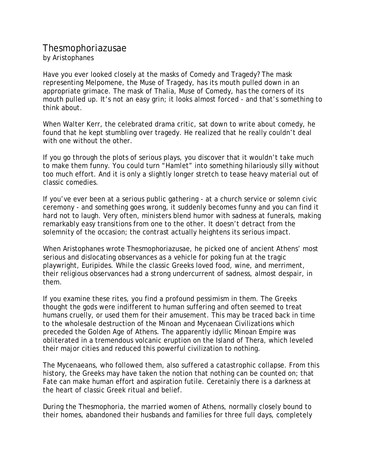## Thesmophoriazusae by Aristophanes

Have you ever looked closely at the masks of Comedy and Tragedy? The mask representing Melpomene, the Muse of Tragedy, has its mouth pulled down in an appropriate grimace. The mask of Thalia, Muse of Comedy, has the corners of its mouth pulled up. It's not an easy grin; it looks almost forced - and that's something to think about.

When Walter Kerr, the celebrated drama critic, sat down to write about comedy, he found that he kept stumbling over tragedy. He realized that he really couldn't deal with one without the other.

If you go through the plots of serious plays, you discover that it wouldn't take much to make them funny. You could turn "Hamlet" into something hilariously silly without too much effort. And it is only a slightly longer stretch to tease heavy material out of classic comedies.

If you've ever been at a serious public gathering - at a church service or solemn civic ceremony - and something goes wrong, it suddenly becomes funny and you can find it hard not to laugh. Very often, ministers blend humor with sadness at funerals, making remarkably easy transitions from one to the other. It doesn't detract from the solemnity of the occasion; the contrast actually heightens its serious impact.

When Aristophanes wrote Thesmophoriazusae, he picked one of ancient Athens' most serious and dislocating observances as a vehicle for poking fun at the tragic playwright, Euripides. While the classic Greeks loved food, wine, and merriment, their religious observances had a strong undercurrent of sadness, almost despair, in them.

If you examine these rites, you find a profound pessimism in them. The Greeks thought the gods were indifferent to human suffering and often seemed to treat humans cruelly, or used them for their amusement. This may be traced back in time to the wholesale destruction of the Minoan and Mycenaean Civilizations which preceded the Golden Age of Athens. The apparently idyllic Minoan Empire was obliterated in a tremendous volcanic eruption on the Island of Thera, which leveled their major cities and reduced this powerful civilization to nothing.

The Mycenaeans, who followed them, also suffered a catastrophic collapse. From this history, the Greeks may have taken the notion that nothing can be counted on; that Fate can make human effort and aspiration futile. Ceretainly there is a darkness at the heart of classic Greek ritual and belief.

During the Thesmophoria, the married women of Athens, normally closely bound to their homes, abandoned their husbands and families for three full days, completely